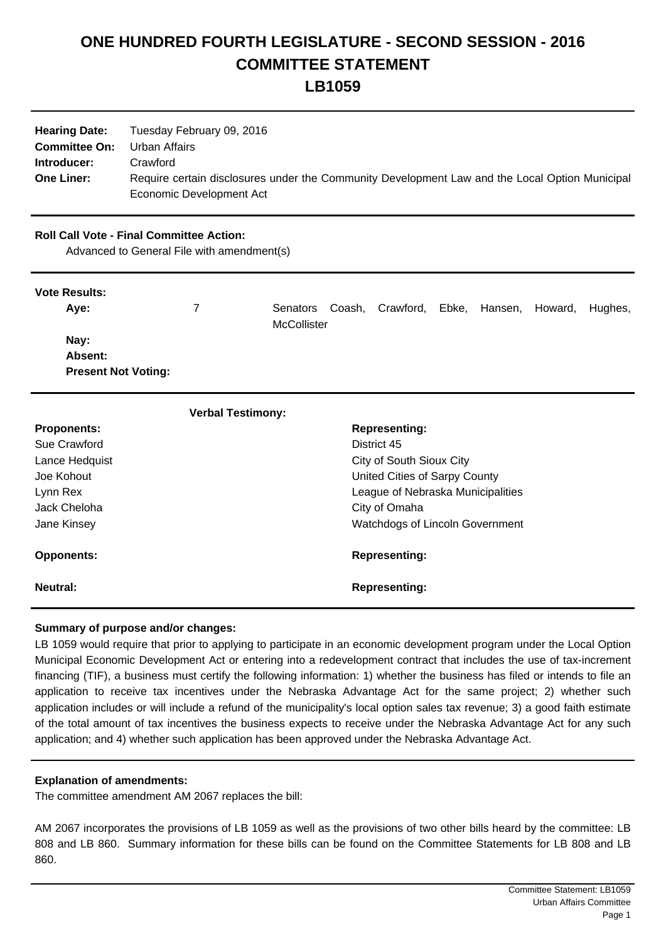# **ONE HUNDRED FOURTH LEGISLATURE - SECOND SESSION - 2016 COMMITTEE STATEMENT LB1059**

| <b>Hearing Date:</b> | Tuesday February 09, 2016                                                                      |
|----------------------|------------------------------------------------------------------------------------------------|
| <b>Committee On:</b> | Urban Affairs                                                                                  |
| Introducer:          | Crawford                                                                                       |
| <b>One Liner:</b>    | Require certain disclosures under the Community Development Law and the Local Option Municipal |
|                      | Economic Development Act                                                                       |

## **Roll Call Vote - Final Committee Action:**

Advanced to General File with amendment(s)

### **Vote Results:**

| Ave:                       | Senators    | Coash, Crawford, | Ebke, | Hansen, | Howard, | Hughes, |
|----------------------------|-------------|------------------|-------|---------|---------|---------|
|                            | McCollister |                  |       |         |         |         |
| Nay:                       |             |                  |       |         |         |         |
| Absent:                    |             |                  |       |         |         |         |
| <b>Present Not Voting:</b> |             |                  |       |         |         |         |

| <b>Verbal Testimony:</b> |                                        |
|--------------------------|----------------------------------------|
| <b>Proponents:</b>       | <b>Representing:</b>                   |
| Sue Crawford             | District 45                            |
| Lance Hedquist           | City of South Sioux City               |
| Joe Kohout               | United Cities of Sarpy County          |
| Lynn Rex                 | League of Nebraska Municipalities      |
| Jack Cheloha             | City of Omaha                          |
| Jane Kinsey              | <b>Watchdogs of Lincoln Government</b> |
| <b>Opponents:</b>        | <b>Representing:</b>                   |
| <b>Neutral:</b>          | <b>Representing:</b>                   |

### **Summary of purpose and/or changes:**

LB 1059 would require that prior to applying to participate in an economic development program under the Local Option Municipal Economic Development Act or entering into a redevelopment contract that includes the use of tax-increment financing (TIF), a business must certify the following information: 1) whether the business has filed or intends to file an application to receive tax incentives under the Nebraska Advantage Act for the same project; 2) whether such application includes or will include a refund of the municipality's local option sales tax revenue; 3) a good faith estimate of the total amount of tax incentives the business expects to receive under the Nebraska Advantage Act for any such application; and 4) whether such application has been approved under the Nebraska Advantage Act.

#### **Explanation of amendments:**

The committee amendment AM 2067 replaces the bill:

AM 2067 incorporates the provisions of LB 1059 as well as the provisions of two other bills heard by the committee: LB 808 and LB 860. Summary information for these bills can be found on the Committee Statements for LB 808 and LB 860.